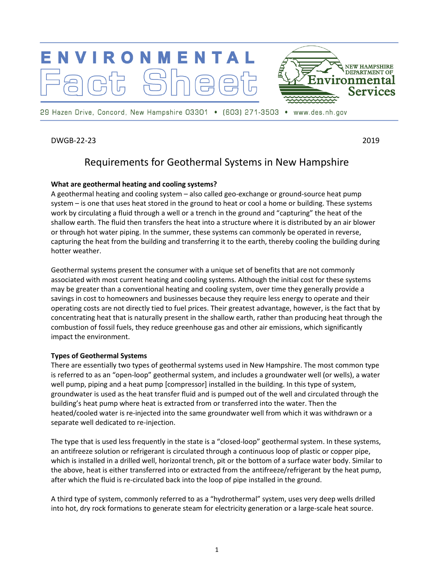

29 Hazen Drive, Concord, New Hampshire 03301 • (603) 271-3503 • www.des.nh.gov

DWGB-22-23 2019

# Requirements for Geothermal Systems in New Hampshire

## **What are geothermal heating and cooling systems?**

A geothermal heating and cooling system – also called geo-exchange or ground-source heat pump system – is one that uses heat stored in the ground to heat or cool a home or building. These systems work by circulating a fluid through a well or a trench in the ground and "capturing" the heat of the shallow earth. The fluid then transfers the heat into a structure where it is distributed by an air blower or through hot water piping. In the summer, these systems can commonly be operated in reverse, capturing the heat from the building and transferring it to the earth, thereby cooling the building during hotter weather.

Geothermal systems present the consumer with a unique set of benefits that are not commonly associated with most current heating and cooling systems. Although the initial cost for these systems may be greater than a conventional heating and cooling system, over time they generally provide a savings in cost to homeowners and businesses because they require less energy to operate and their operating costs are not directly tied to fuel prices. Their greatest advantage, however, is the fact that by concentrating heat that is naturally present in the shallow earth, rather than producing heat through the combustion of fossil fuels, they reduce greenhouse gas and other air emissions, which significantly impact the environment.

## **Types of Geothermal Systems**

There are essentially two types of geothermal systems used in New Hampshire. The most common type is referred to as an "open-loop" geothermal system, and includes a groundwater well (or wells), a water well pump, piping and a heat pump [compressor] installed in the building. In this type of system, groundwater is used as the heat transfer fluid and is pumped out of the well and circulated through the building's heat pump where heat is extracted from or transferred into the water. Then the heated/cooled water is re-injected into the same groundwater well from which it was withdrawn or a separate well dedicated to re-injection.

The type that is used less frequently in the state is a "closed-loop" geothermal system. In these systems, an antifreeze solution or refrigerant is circulated through a continuous loop of plastic or copper pipe, which is installed in a drilled well, horizontal trench, pit or the bottom of a surface water body. Similar to the above, heat is either transferred into or extracted from the antifreeze/refrigerant by the heat pump, after which the fluid is re-circulated back into the loop of pipe installed in the ground.

A third type of system, commonly referred to as a "hydrothermal" system, uses very deep wells drilled into hot, dry rock formations to generate steam for electricity generation or a large-scale heat source.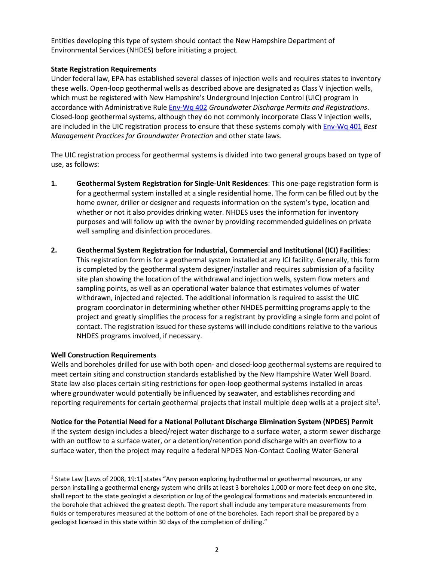Entities developing this type of system should contact the New Hampshire Department of Environmental Services (NHDES) before initiating a project.

## **State Registration Requirements**

Under federal law, EPA has established several classes of injection wells and requires states to inventory these wells. Open-loop geothermal wells as described above are designated as Class V injection wells, which must be registered with New Hampshire's Underground Injection Control (UIC) program in accordance with Administrative Rule [Env-Wq 402](https://www.des.nh.gov/rules-and-regulatory/administrative-rules?keys=envwq402) *Groundwater Discharge Permits and Registrations*. Closed-loop geothermal systems, although they do not commonly incorporate Class V injection wells, are included in the UIC registration process to ensure that these systems comply with [Env-Wq 401](https://www.des.nh.gov/rules-and-regulatory/administrative-rules?keys=envwq401) *Best Management Practices for Groundwater Protection* and other state laws.

The UIC registration process for geothermal systems is divided into two general groups based on type of use, as follows:

- **1. Geothermal System Registration for Single-Unit Residences**: This one-page registration form is for a geothermal system installed at a single residential home. The form can be filled out by the home owner, driller or designer and requests information on the system's type, location and whether or not it also provides drinking water. NHDES uses the information for inventory purposes and will follow up with the owner by providing recommended guidelines on private well sampling and disinfection procedures.
- **2. Geothermal System Registration for Industrial, Commercial and Institutional (ICI) Facilities**: This registration form is for a geothermal system installed at any ICI facility. Generally, this form is completed by the geothermal system designer/installer and requires submission of a facility site plan showing the location of the withdrawal and injection wells, system flow meters and sampling points, as well as an operational water balance that estimates volumes of water withdrawn, injected and rejected. The additional information is required to assist the UIC program coordinator in determining whether other NHDES permitting programs apply to the project and greatly simplifies the process for a registrant by providing a single form and point of contact. The registration issued for these systems will include conditions relative to the various NHDES programs involved, if necessary.

## **Well Construction Requirements**

 $\overline{a}$ 

Wells and boreholes drilled for use with both open- and closed-loop geothermal systems are required to meet certain siting and construction standards established by the New Hampshire Water Well Board. State law also places certain siting restrictions for open-loop geothermal systems installed in areas where groundwater would potentially be influenced by seawater, and establishes recording and reporting requirements for certain geothermal projects that install multiple deep wells at a project site<sup>1</sup>.

**Notice for the Potential Need for a National Pollutant Discharge Elimination System (NPDES) Permit**  If the system design includes a bleed/reject water discharge to a surface water, a storm sewer discharge with an outflow to a surface water, or a detention/retention pond discharge with an overflow to a surface water, then the project may require a federal NPDES Non-Contact Cooling Water General

<sup>&</sup>lt;sup>1</sup> State Law [Laws of 2008, 19:1] states "Any person exploring hydrothermal or geothermal resources, or any person installing a geothermal energy system who drills at least 3 boreholes 1,000 or more feet deep on one site, shall report to the state geologist a description or log of the geological formations and materials encountered in the borehole that achieved the greatest depth. The report shall include any temperature measurements from fluids or temperatures measured at the bottom of one of the boreholes. Each report shall be prepared by a geologist licensed in this state within 30 days of the completion of drilling."